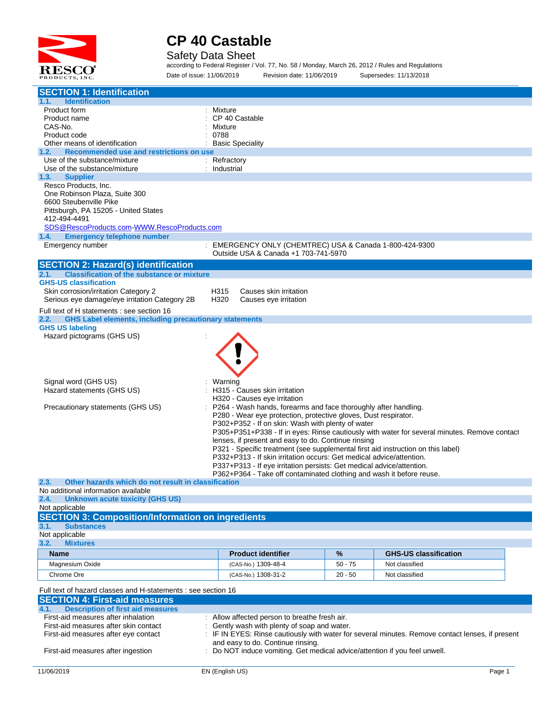

Safety Data Sheet

according to Federal Register / Vol. 77, No. 58 / Monday, March 26, 2012 / Rules and Regulations Date of issue: 11/06/2019 Revision date: 11/06/2019 Supersedes: 11/13/2018

| <b>SECTION 1: Identification</b>                                      |                                                                                                |           |                                                                                              |  |  |
|-----------------------------------------------------------------------|------------------------------------------------------------------------------------------------|-----------|----------------------------------------------------------------------------------------------|--|--|
| 1.1.<br><b>Identification</b>                                         |                                                                                                |           |                                                                                              |  |  |
| Product form                                                          | Mixture                                                                                        |           |                                                                                              |  |  |
| Product name                                                          | CP 40 Castable                                                                                 |           |                                                                                              |  |  |
| CAS-No.                                                               | Mixture                                                                                        |           |                                                                                              |  |  |
| Product code<br>Other means of identification                         | 0788<br><b>Basic Speciality</b>                                                                |           |                                                                                              |  |  |
| Recommended use and restrictions on use<br>1.2.                       |                                                                                                |           |                                                                                              |  |  |
| Use of the substance/mixture                                          | Refractory                                                                                     |           |                                                                                              |  |  |
| Use of the substance/mixture                                          | Industrial                                                                                     |           |                                                                                              |  |  |
| 1.3.<br><b>Supplier</b>                                               |                                                                                                |           |                                                                                              |  |  |
| Resco Products, Inc.                                                  |                                                                                                |           |                                                                                              |  |  |
| One Robinson Plaza, Suite 300                                         |                                                                                                |           |                                                                                              |  |  |
| 6600 Steubenville Pike                                                |                                                                                                |           |                                                                                              |  |  |
| Pittsburgh, PA 15205 - United States                                  |                                                                                                |           |                                                                                              |  |  |
| 412-494-4491                                                          |                                                                                                |           |                                                                                              |  |  |
| SDS@RescoProducts.com-WWW.RescoProducts.com                           |                                                                                                |           |                                                                                              |  |  |
| <b>Emergency telephone number</b><br>1.4.                             |                                                                                                |           |                                                                                              |  |  |
| Emergency number                                                      | EMERGENCY ONLY (CHEMTREC) USA & Canada 1-800-424-9300                                          |           |                                                                                              |  |  |
|                                                                       | Outside USA & Canada +1 703-741-5970                                                           |           |                                                                                              |  |  |
| <b>SECTION 2: Hazard(s) identification</b>                            |                                                                                                |           |                                                                                              |  |  |
| <b>Classification of the substance or mixture</b><br>2.1.             |                                                                                                |           |                                                                                              |  |  |
| <b>GHS-US classification</b>                                          |                                                                                                |           |                                                                                              |  |  |
| Skin corrosion/irritation Category 2                                  | Causes skin irritation<br>H315                                                                 |           |                                                                                              |  |  |
| Serious eye damage/eye irritation Category 2B                         | H320<br>Causes eye irritation                                                                  |           |                                                                                              |  |  |
|                                                                       |                                                                                                |           |                                                                                              |  |  |
| Full text of H statements : see section 16                            |                                                                                                |           |                                                                                              |  |  |
| 2.2.<br><b>GHS Label elements, including precautionary statements</b> |                                                                                                |           |                                                                                              |  |  |
| <b>GHS US labeling</b>                                                |                                                                                                |           |                                                                                              |  |  |
| Hazard pictograms (GHS US)                                            |                                                                                                |           |                                                                                              |  |  |
|                                                                       |                                                                                                |           |                                                                                              |  |  |
|                                                                       |                                                                                                |           |                                                                                              |  |  |
|                                                                       |                                                                                                |           |                                                                                              |  |  |
|                                                                       |                                                                                                |           |                                                                                              |  |  |
| Signal word (GHS US)                                                  | Warning                                                                                        |           |                                                                                              |  |  |
| Hazard statements (GHS US)                                            | H315 - Causes skin irritation                                                                  |           |                                                                                              |  |  |
|                                                                       | H320 - Causes eye irritation                                                                   |           |                                                                                              |  |  |
| Precautionary statements (GHS US)                                     | P264 - Wash hands, forearms and face thoroughly after handling.                                |           |                                                                                              |  |  |
|                                                                       | P280 - Wear eye protection, protective gloves, Dust respirator.                                |           |                                                                                              |  |  |
|                                                                       | P302+P352 - If on skin: Wash with plenty of water                                              |           |                                                                                              |  |  |
|                                                                       |                                                                                                |           | P305+P351+P338 - If in eyes: Rinse cautiously with water for several minutes. Remove contact |  |  |
|                                                                       | lenses, if present and easy to do. Continue rinsing                                            |           |                                                                                              |  |  |
|                                                                       | P321 - Specific treatment (see supplemental first aid instruction on this label)               |           |                                                                                              |  |  |
|                                                                       | P332+P313 - If skin irritation occurs: Get medical advice/attention.                           |           |                                                                                              |  |  |
|                                                                       | P337+P313 - If eye irritation persists: Get medical advice/attention.                          |           |                                                                                              |  |  |
|                                                                       | P362+P364 - Take off contaminated clothing and wash it before reuse.                           |           |                                                                                              |  |  |
| Other hazards which do not result in classification<br>2.3.           |                                                                                                |           |                                                                                              |  |  |
| No additional information available                                   |                                                                                                |           |                                                                                              |  |  |
| 2.4.<br><b>Unknown acute toxicity (GHS US)</b>                        |                                                                                                |           |                                                                                              |  |  |
| Not applicable                                                        |                                                                                                |           |                                                                                              |  |  |
| <b>SECTION 3: Composition/Information on ingredients</b>              |                                                                                                |           |                                                                                              |  |  |
| 3.1.<br><b>Substances</b>                                             |                                                                                                |           |                                                                                              |  |  |
| Not applicable                                                        |                                                                                                |           |                                                                                              |  |  |
| 3.2.<br><b>Mixtures</b>                                               |                                                                                                |           |                                                                                              |  |  |
|                                                                       |                                                                                                |           |                                                                                              |  |  |
| <b>Name</b>                                                           | <b>Product identifier</b>                                                                      | %         | <b>GHS-US classification</b>                                                                 |  |  |
| Magnesium Oxide                                                       | (CAS-No.) 1309-48-4                                                                            | $50 - 75$ | Not classified                                                                               |  |  |
| Chrome Ore                                                            | (CAS-No.) 1308-31-2                                                                            | $20 - 50$ | Not classified                                                                               |  |  |
|                                                                       |                                                                                                |           |                                                                                              |  |  |
| Full text of hazard classes and H-statements : see section 16         |                                                                                                |           |                                                                                              |  |  |
| <b>SECTION 4: First-aid measures</b>                                  |                                                                                                |           |                                                                                              |  |  |
| 4.1.<br><b>Description of first aid measures</b>                      |                                                                                                |           |                                                                                              |  |  |
| First-aid measures after inhalation                                   | Allow affected person to breathe fresh air.                                                    |           |                                                                                              |  |  |
| First-aid measures after skin contact                                 | Gently wash with plenty of soap and water.                                                     |           |                                                                                              |  |  |
| First-aid measures after eye contact                                  | IF IN EYES: Rinse cautiously with water for several minutes. Remove contact lenses, if present |           |                                                                                              |  |  |
|                                                                       | and easy to do. Continue rinsing.                                                              |           |                                                                                              |  |  |
| First-aid measures after ingestion                                    | Do NOT induce vomiting. Get medical advice/attention if you feel unwell.                       |           |                                                                                              |  |  |
|                                                                       |                                                                                                |           |                                                                                              |  |  |
| 11/06/2019                                                            | EN (English US)                                                                                |           | Page 1                                                                                       |  |  |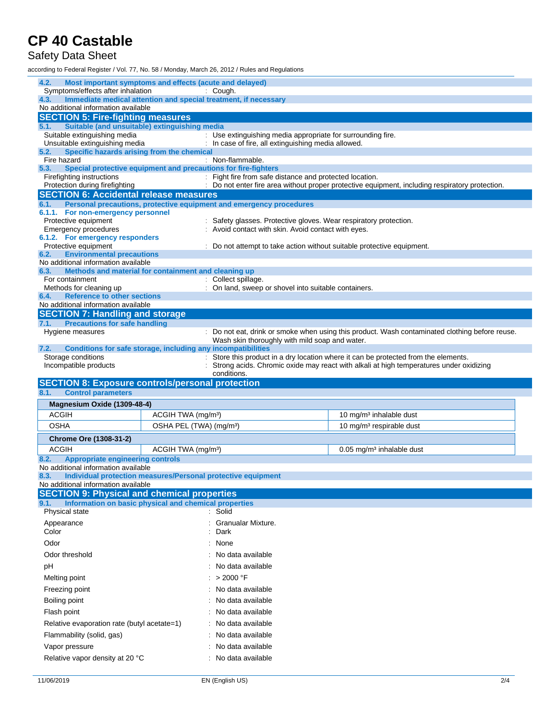#### Safety Data Sheet

according to Federal Register / Vol. 77, No. 58 / Monday, March 26, 2012 / Rules and Regulations

| 4.2.<br>Most important symptoms and effects (acute and delayed)<br>Symptoms/effects after inhalation |                                     |                                                                      |                                                                                               |  |
|------------------------------------------------------------------------------------------------------|-------------------------------------|----------------------------------------------------------------------|-----------------------------------------------------------------------------------------------|--|
| Immediate medical attention and special treatment, if necessary<br>4.3.                              |                                     | Cough.                                                               |                                                                                               |  |
| No additional information available                                                                  |                                     |                                                                      |                                                                                               |  |
| <b>SECTION 5: Fire-fighting measures</b>                                                             |                                     |                                                                      |                                                                                               |  |
| Suitable (and unsuitable) extinguishing media<br>5.1.<br>Suitable extinguishing media                |                                     | : Use extinguishing media appropriate for surrounding fire.          |                                                                                               |  |
| Unsuitable extinguishing media                                                                       |                                     | In case of fire, all extinguishing media allowed.                    |                                                                                               |  |
| Specific hazards arising from the chemical<br>5.2.                                                   |                                     |                                                                      |                                                                                               |  |
| Fire hazard<br>Special protective equipment and precautions for fire-fighters<br>5.3.                |                                     | Non-flammable.                                                       |                                                                                               |  |
| Firefighting instructions                                                                            |                                     | Fight fire from safe distance and protected location.                |                                                                                               |  |
| Protection during firefighting                                                                       |                                     |                                                                      | Do not enter fire area without proper protective equipment, including respiratory protection. |  |
| <b>SECTION 6: Accidental release measures</b>                                                        |                                     | Personal precautions, protective equipment and emergency procedures  |                                                                                               |  |
| 6.1.<br>6.1.1. For non-emergency personnel                                                           |                                     |                                                                      |                                                                                               |  |
| Protective equipment                                                                                 |                                     | Safety glasses. Protective gloves. Wear respiratory protection.      |                                                                                               |  |
| <b>Emergency procedures</b>                                                                          |                                     | Avoid contact with skin. Avoid contact with eyes.                    |                                                                                               |  |
| 6.1.2. For emergency responders<br>Protective equipment                                              |                                     | Do not attempt to take action without suitable protective equipment. |                                                                                               |  |
| <b>Environmental precautions</b><br>6.2.                                                             |                                     |                                                                      |                                                                                               |  |
| No additional information available<br>Methods and material for containment and cleaning up<br>6.3.  |                                     |                                                                      |                                                                                               |  |
| For containment                                                                                      |                                     | Collect spillage.                                                    |                                                                                               |  |
| Methods for cleaning up                                                                              |                                     | On land, sweep or shovel into suitable containers.                   |                                                                                               |  |
| <b>Reference to other sections</b><br>6.4.<br>No additional information available                    |                                     |                                                                      |                                                                                               |  |
| <b>SECTION 7: Handling and storage</b>                                                               |                                     |                                                                      |                                                                                               |  |
| <b>Precautions for safe handling</b><br>7.1.                                                         |                                     |                                                                      |                                                                                               |  |
| Hygiene measures                                                                                     |                                     |                                                                      | Do not eat, drink or smoke when using this product. Wash contaminated clothing before reuse.  |  |
| 7.2.<br>Conditions for safe storage, including any incompatibilities                                 |                                     | Wash skin thoroughly with mild soap and water.                       |                                                                                               |  |
| Storage conditions                                                                                   |                                     |                                                                      | Store this product in a dry location where it can be protected from the elements.             |  |
| Incompatible products                                                                                |                                     |                                                                      |                                                                                               |  |
|                                                                                                      |                                     |                                                                      | Strong acids. Chromic oxide may react with alkali at high temperatures under oxidizing        |  |
|                                                                                                      |                                     | conditions.                                                          |                                                                                               |  |
| <b>SECTION 8: Exposure controls/personal protection</b><br>8.1.<br><b>Control parameters</b>         |                                     |                                                                      |                                                                                               |  |
|                                                                                                      |                                     |                                                                      |                                                                                               |  |
| Magnesium Oxide (1309-48-4)<br><b>ACGIH</b>                                                          | ACGIH TWA (mg/m <sup>3</sup> )      |                                                                      | 10 mg/m <sup>3</sup> inhalable dust                                                           |  |
| <b>OSHA</b>                                                                                          | OSHA PEL (TWA) (mg/m <sup>3</sup> ) |                                                                      | 10 mg/m <sup>3</sup> respirable dust                                                          |  |
|                                                                                                      |                                     |                                                                      |                                                                                               |  |
| <b>Chrome Ore (1308-31-2)</b><br><b>ACGIH</b>                                                        | ACGIH TWA (mg/m <sup>3</sup> )      |                                                                      | $0.05$ mg/m <sup>3</sup> inhalable dust                                                       |  |
| 8.2.<br><b>Appropriate engineering controls</b>                                                      |                                     |                                                                      |                                                                                               |  |
| No additional information available                                                                  |                                     |                                                                      |                                                                                               |  |
| Individual protection measures/Personal protective equipment<br>8.3.                                 |                                     |                                                                      |                                                                                               |  |
| No additional information available<br><b>SECTION 9: Physical and chemical properties</b>            |                                     |                                                                      |                                                                                               |  |
| Information on basic physical and chemical properties<br>9.1.                                        |                                     |                                                                      |                                                                                               |  |
| Physical state                                                                                       |                                     | Solid                                                                |                                                                                               |  |
| Appearance                                                                                           |                                     | Granualar Mixture.                                                   |                                                                                               |  |
| Color                                                                                                |                                     | Dark                                                                 |                                                                                               |  |
| Odor                                                                                                 |                                     | None                                                                 |                                                                                               |  |
| Odor threshold                                                                                       |                                     | No data available                                                    |                                                                                               |  |
| рH                                                                                                   |                                     | No data available                                                    |                                                                                               |  |
| Melting point                                                                                        |                                     | > 2000 °F                                                            |                                                                                               |  |
| Freezing point                                                                                       |                                     | No data available                                                    |                                                                                               |  |
| Boiling point                                                                                        |                                     | No data available                                                    |                                                                                               |  |
| Flash point                                                                                          |                                     | No data available                                                    |                                                                                               |  |
| Relative evaporation rate (butyl acetate=1)                                                          |                                     | No data available                                                    |                                                                                               |  |
| Flammability (solid, gas)                                                                            |                                     | No data available                                                    |                                                                                               |  |
| Vapor pressure<br>Relative vapor density at 20 °C                                                    |                                     | No data available<br>No data available                               |                                                                                               |  |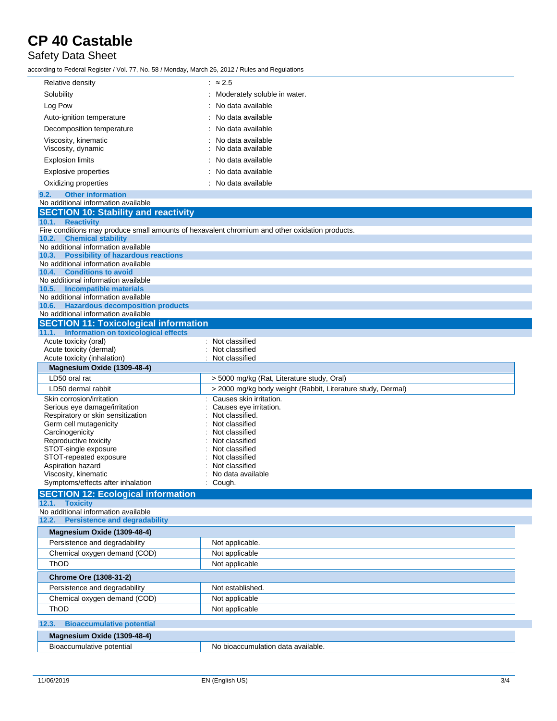#### Safety Data Sheet

according to Federal Register / Vol. 77, No. 58 / Monday, March 26, 2012 / Rules and Regulations

| Relative density                                                                               | $\approx$ 2.5                                               |  |
|------------------------------------------------------------------------------------------------|-------------------------------------------------------------|--|
| Solubility                                                                                     | Moderately soluble in water.                                |  |
| Log Pow                                                                                        | No data available                                           |  |
| Auto-ignition temperature                                                                      | No data available                                           |  |
| Decomposition temperature                                                                      | No data available                                           |  |
| Viscosity, kinematic                                                                           | No data available                                           |  |
| Viscosity, dynamic                                                                             | No data available                                           |  |
| <b>Explosion limits</b>                                                                        | No data available                                           |  |
| <b>Explosive properties</b>                                                                    | No data available                                           |  |
| Oxidizing properties                                                                           | No data available                                           |  |
| 9.2.<br><b>Other information</b>                                                               |                                                             |  |
| No additional information available                                                            |                                                             |  |
| <b>SECTION 10: Stability and reactivity</b>                                                    |                                                             |  |
| 10.1. Reactivity                                                                               |                                                             |  |
| Fire conditions may produce small amounts of hexavalent chromium and other oxidation products. |                                                             |  |
| <b>Chemical stability</b><br>10.2.<br>No additional information available                      |                                                             |  |
| 10.3.<br><b>Possibility of hazardous reactions</b>                                             |                                                             |  |
| No additional information available                                                            |                                                             |  |
| <b>Conditions to avoid</b><br>10.4.<br>No additional information available                     |                                                             |  |
| 10.5. Incompatible materials                                                                   |                                                             |  |
| No additional information available                                                            |                                                             |  |
| 10.6.<br><b>Hazardous decomposition products</b>                                               |                                                             |  |
| No additional information available                                                            |                                                             |  |
| <b>SECTION 11: Toxicological information</b>                                                   |                                                             |  |
| 11.1. Information on toxicological effects<br>Acute toxicity (oral)                            | Not classified                                              |  |
| Acute toxicity (dermal)                                                                        | Not classified                                              |  |
| Acute toxicity (inhalation)                                                                    | Not classified                                              |  |
| Magnesium Oxide (1309-48-4)                                                                    |                                                             |  |
| LD50 oral rat                                                                                  | > 5000 mg/kg (Rat, Literature study, Oral)                  |  |
| LD50 dermal rabbit                                                                             | > 2000 mg/kg body weight (Rabbit, Literature study, Dermal) |  |
| Skin corrosion/irritation                                                                      | Causes skin irritation.                                     |  |
| Serious eye damage/irritation<br>Respiratory or skin sensitization                             | Causes eye irritation.<br>Not classified.                   |  |
| Germ cell mutagenicity                                                                         | Not classified                                              |  |
| Carcinogenicity                                                                                | Not classified                                              |  |
| Reproductive toxicity<br>STOT-single exposure                                                  | Not classified                                              |  |
| STOT-repeated exposure                                                                         | Not classified<br>Not classified                            |  |
| Aspiration hazard                                                                              | Not classified                                              |  |
| Viscosity, kinematic                                                                           | No data available                                           |  |
| Symptoms/effects after inhalation                                                              | Cough.                                                      |  |
| <b>SECTION 12: Ecological information</b>                                                      |                                                             |  |
| 12.1. Toxicity<br>No additional information available                                          |                                                             |  |
| 12.2. Persistence and degradability                                                            |                                                             |  |
| Magnesium Oxide (1309-48-4)                                                                    |                                                             |  |
| Persistence and degradability                                                                  | Not applicable.                                             |  |
| Chemical oxygen demand (COD)                                                                   | Not applicable                                              |  |
| ThOD                                                                                           | Not applicable                                              |  |
|                                                                                                |                                                             |  |
| <b>Chrome Ore (1308-31-2)</b>                                                                  |                                                             |  |
| Persistence and degradability                                                                  | Not established.                                            |  |
| Chemical oxygen demand (COD)                                                                   | Not applicable                                              |  |
| ThOD                                                                                           | Not applicable                                              |  |
| <b>Bioaccumulative potential</b><br>12.3.                                                      |                                                             |  |
| Magnesium Oxide (1309-48-4)                                                                    |                                                             |  |
| Bioaccumulative potential                                                                      | No bioaccumulation data available.                          |  |
|                                                                                                |                                                             |  |